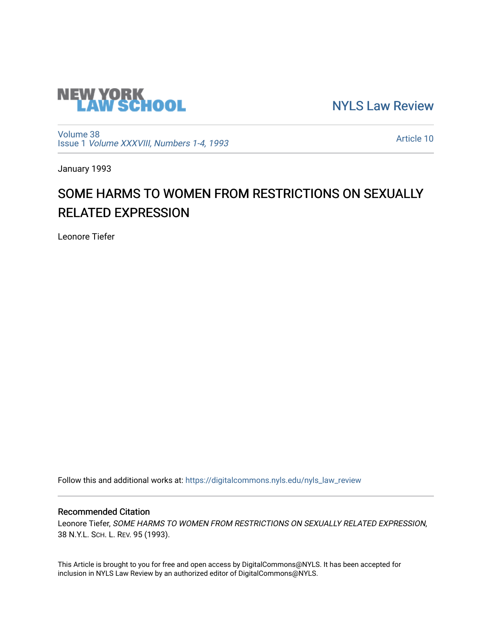

[NYLS Law Review](https://digitalcommons.nyls.edu/nyls_law_review) 

[Volume 38](https://digitalcommons.nyls.edu/nyls_law_review/vol38) Issue 1 [Volume XXXVIII, Numbers 1-4, 1993](https://digitalcommons.nyls.edu/nyls_law_review/vol38/iss1)

[Article 10](https://digitalcommons.nyls.edu/nyls_law_review/vol38/iss1/10) 

January 1993

## SOME HARMS TO WOMEN FROM RESTRICTIONS ON SEXUALLY RELATED EXPRESSION

Leonore Tiefer

Follow this and additional works at: [https://digitalcommons.nyls.edu/nyls\\_law\\_review](https://digitalcommons.nyls.edu/nyls_law_review?utm_source=digitalcommons.nyls.edu%2Fnyls_law_review%2Fvol38%2Fiss1%2F10&utm_medium=PDF&utm_campaign=PDFCoverPages) 

## Recommended Citation

Leonore Tiefer, SOME HARMS TO WOMEN FROM RESTRICTIONS ON SEXUALLY RELATED EXPRESSION, 38 N.Y.L. SCH. L. REV. 95 (1993).

This Article is brought to you for free and open access by DigitalCommons@NYLS. It has been accepted for inclusion in NYLS Law Review by an authorized editor of DigitalCommons@NYLS.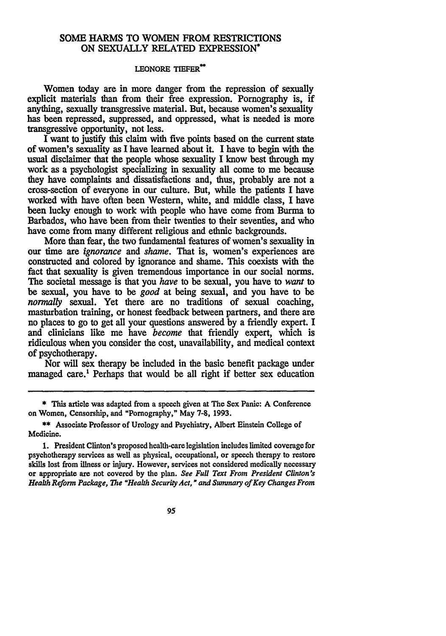## **SOME** HARMS TO WOMEN FROM RESTRICTIONS **ON SEXUALLY** RELATED EXPRESSION\*

## **LEONORE TIEFER"**

Women today are in more danger from the repression of sexually explicit materials than from their free expression. Pornography is, if anything, sexually transgressive material. But, because women's sexuality has been repressed, suppressed, and oppressed, what is needed is more transgressive opportunity, not less.

I want to justify this claim with five points based on the current state of women's sexuality as I have learned about it. **I** have **to** begin with the usual disclaimer that the people whose sexuality I know best through my work as a psychologist specializing in sexuality all come to me because they have complaints and dissatisfactions and, thus, probably are not a cross-section of everyone in our culture. But, while the patients I have worked with have often been Western, white, and middle class, I have been lucky enough to work with people who have come from Burma to Barbados, who have been from their twenties to their seventies, and who have come from many different religious and **ethnic** backgrounds.

More than fear, the two fundamental features of women's sexuality in our time are *ignorance* and *shame.* That is, women's experiences are constructed and colored **by** ignorance and shame. This coexists with the fact that sexuality is given tremendous importance in our social norms. The societal message is that you *have* to be sexual, you have to *want* to be sexual, you have to be *good* at being sexual, and you have to be *normally* sexual. Yet there are no traditions of sexual coaching, masturbation training, or honest feedback between partners, and there are no places to go to get all your questions answered by a friendly expert. I and clinicians like me have *become* that friendly expert, which is ridiculous when you consider the cost, unavailability, and medical context of psychotherapy.

Nor will sex therapy be included in the basic benefit package under managed care.' Perhaps that would be all right if better sex education

95

<sup>\*</sup> This article was adapted from a speech given at The Sex Panic: **A** Conference on Women, Censorship, and "Pornography," May 7-8, 1993.

<sup>\*\*</sup> Associate Professor of Urology and Psychiatry, Albert Einstein College of Medicine.

<sup>1.</sup> President Clinton's proposed health-care legislation includes limited coverage for psychotherapy services as well as physical, occupational, or speech therapy to restore skills lost from illness or injury. However, services not considered medically necessary or appropriate are not covered by the plan. *See Full Text From President Clinton's Health Reform Package, The "Health Security Act, " and Summary of Key* Changes From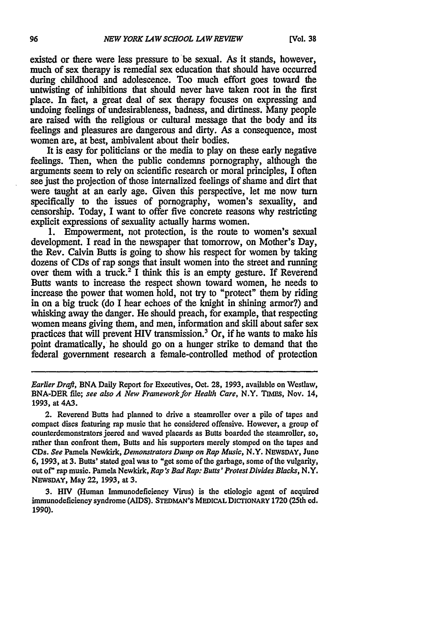existed or there were less pressure to be sexual. As it stands, however, much of sex therapy is remedial sex education that should have occurred during childhood and adolescence. Too much effort goes toward the untwisting of inhibitions that should never have taken root in the first place. In fact, a great deal of sex therapy focuses on expressing and undoing feelings of undesirableness, badness, and dirtiness. Many people are raised with the religious or cultural message that the body and its feelings and pleasures are dangerous and dirty. As a consequence, most women are, at best, ambivalent about their bodies.

It is easy for politicians or the media to play on these early negative feelings. Then, when the public condemns pornography, although the arguments seem to rely on scientific research or moral principles, I often see just the projection of those internalized feelings of shame and dirt that were taught at an early age. Given this perspective, let me now turn specifically to the issues of pornography, women's sexuality, and censorship. Today, I want to offer five concrete reasons why restricting explicit expressions of sexuality actually harms women.

**1.** Empowerment, not protection, is the route to women's sexual development. I read in the newspaper that tomorrow, on Mother's Day, the Rev. Calvin Butts is going to show his respect for women by taking dozens of CDs of rap songs that insult women into the street and running over them with a truck.<sup>2</sup> I think this is an empty gesture. If Reverend Butts wants to increase the respect shown toward women, he needs to increase the power that women hold, not try to "protect" them by riding in on a big truck (do I hear echoes of the knight in shining armor?) and whisking away the danger. He should preach, for example, that respecting women means giving them, and men, information and skill about safer sex practices that will prevent HIV transmission.<sup>3</sup> Or, if he wants to make his point dramatically, he should go on a hunger strike to demand that the federal government research a female-controlled method of protection

*Earlier Draft,* BNA Daily Report for Executives, Oct. **28,** 1993, available on Westlaw, BNA-DER file; see also *A New Framework for Health Care,* N.Y. TIMEs, Nov. 14, 1993, at 4A3.

2. Reverend Butts had planned to drive a steamroller over a pile of tapes and compact discs featuring rap music that he considered offensive. However, a group of counterdemonstrators jeered and waved placards as Butts boarded the steamroller, so, rather than confront them, Butts and his supporters merely stomped on the tapes and CDs. *See* Pamela Newkirk, *Demonstrators Dwnp on Rap Music,* N.Y. NEWsDAY, June 6, 1993, at 3. Butts' stated goal was to "get some of the garbage, some of the vulgarity, out of" rap music. Pamela Newkirk, *Rap's Bad Rap: Bults' Protest Divides Blacks,* N.Y. NEWSDAY, May 22, 1993, at 3.

3. HIV (Human Immunodeficiency Virus) is the etiologic agent of acquired immunodeficiency syndrome **(AIDS). STEDMAN'S MEDICAL DICTIONARY** 1720 (25th ed. 1990).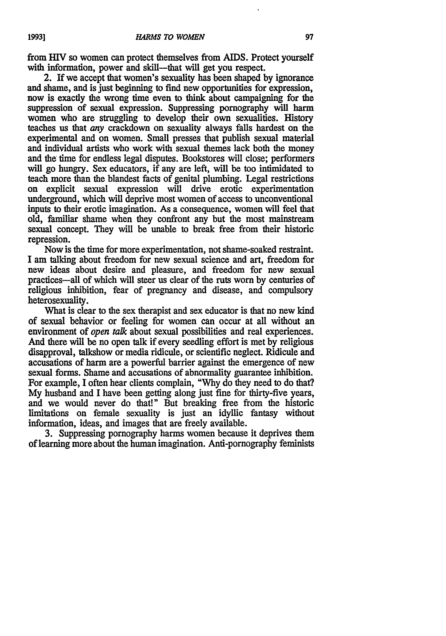from HIV so women can protect themselves from AIDS. Protect vourself with information, power and skill--that will get you respect.

2. If we accept that women's sexuality has been shaped **by** ignorance and shame, and is just beginning to find new opportunities for expression, now is exactly the wrong time even to think about campaigning for the suppression of sexual expression. Suppressing pornography will harm women who are struggling to develop their own sexualities. History teaches us that *any* crackdown on sexuality always falls hardest on the experimental and on women. Small presses that publish sexual material and individual artists who work with sexual themes lack both the money and the time for endless legal disputes. Bookstores will close; performers will go hungry. Sex educators, if any are left, will be too intimidated to teach more than the blandest facts of genital plumbing. Legal restrictions on explicit sexual expression will drive erotic experimentation underground, which will deprive most women of access to unconventional inputs to their erotic imagination. As a consequence, women will feel that old, familiar shame when they confront any but the most mainstream sexual concept. They will be unable to break free from their historic repression.

Now is the time for more experimentation, not shame-soaked restraint. I am talking about freedom for new sexual science and art, freedom for new ideas about desire and pleasure, and freedom for new sexual practices-all of which will steer us clear of the ruts worn by centuries of religious inhibition, fear of pregnancy and disease, and compulsory heterosexuality.

What is clear to the sex therapist and sex educator is that no new kind of sexual behavior or feeling for women can occur at all without an environment of *open talk* about sexual possibilities and real experiences. And there will be no open talk if every seedling effort is met by religious disapproval, talkshow or media ridicule, or scientific neglect. Ridicule and accusations of harm are a powerful barrier against the emergence of new sexual forms. Shame and accusations of abnormality guarantee inhibition. For example, I often hear clients complain, "Why do they need to do that? My husband and I have been getting along just fine for thirty-five years, and we would never do that!" But breaking free from the historic limitations on female sexuality is just an idyllic fantasy without information, ideas, and images that are freely available.

3. Suppressing pornography harms women because it deprives them of learning more about the human imagination. Anti-pornography feminists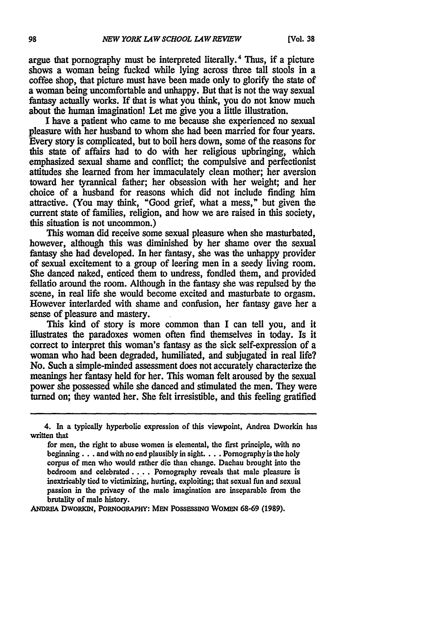argue that pornography must be interpreted literally.<sup>4</sup> Thus, if a picture shows a woman being fucked while lying across three tall stools in a coffee shop, that picture must have been made only to glorify the state of a woman being uncomfortable and unhappy. But that is not the way sexual fantasy actually works. If that is what you think, you do not know much about the human imagination! Let me give you a little illustration.

**I** have a patient who came to me because she experienced no sexual pleasure with her husband to whom she had been married for four years. Every story is complicated, but to boil hers down, some of the reasons for this state of affairs had to do with her religious upbringing, which emphasized sexual shame and conflict; the compulsive and perfectionist attitudes she learned from her immaculately clean mother; her aversion toward her tyrannical father; her obsession with her weight; and her choice of a husband for reasons which did not include finding him attractive. (You may think, "Good grief, what a mess," but given the current state of families, religion, and how we are raised in this society, this situation is not uncommon.)

This woman did receive some sexual pleasure when she masturbated, however, although this was diminished **by** her shame over the sexual fantasy she had developed. In her fantasy, she was the unhappy provider of sexual excitement to a group of leering men in a seedy living room. She danced naked, enticed them to undress, fondled them, and provided fellatio around the room. Although in the fantasy she was repulsed **by** the scene, in real life she would become excited and masturbate to orgasm. However interlarded with shame and confusion, her fantasy gave her a sense of pleasure and mastery.

This kind of story is more common than **I** can tell you, and it illustrates the paradoxes women often find themselves in today. Is it correct to interpret this woman's fantasy as the sick self-expression of a woman who had been degraded, humiliated, and subjugated in real life? No. Such a simple-minded assessment does not accurately characterize the **meanings** her fantasy held for her. This woman felt aroused **by** the sexual power she possessed while she danced and stimulated the men. They were **turned** on; they wanted her. She felt irresistible, and this feeling gratified

ANDREA DWORKIN, PORNOGRAPHY: MEN POSSESSING WOMEN 68-69 (1989).

**<sup>4.</sup>** In a typically hyperbolic expression of this viewpoint, Andrea Dworkin has written that

for men, the right to abuse women is elemental, the first principle, with no **beginning...** and with no end plausibly in **sight....** Pornography is the holy corpus of men who would rather die than change. Dachau brought into the bedroom and **elebrated ....** Pornography reveals that male pleasure is inextricably tied to victimizing, hurting, exploiting; that sexual fun and sexual passion in the privacy of the male imagination are inseparable from the **brutality of male history.**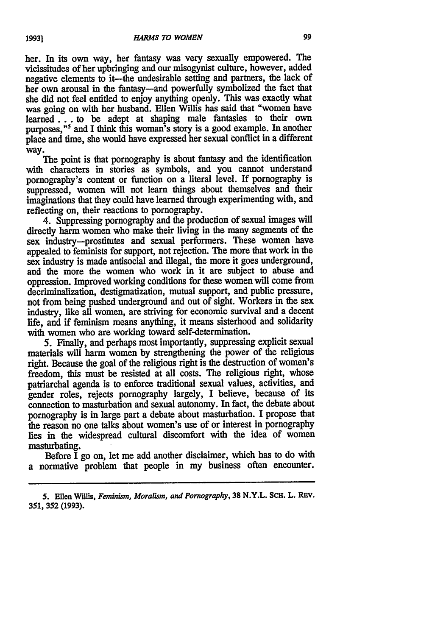her. In its own way, her **fantasy** was very sexually empowered. The vicissitudes of her upbringing and our misogynist culture, however, added negative elements to it—the undesirable setting and partners, the lack of her own arousal in the fantasy-and powerfully symbolized the fact that she did not feel entitled to enjoy anything openly. This was exactly what was going on with her husband. Ellen Willis has said that "women have **learned...** to be adept at shaping male fantasies to their own purposes,<sup>"'</sup> and I think this woman's story is a good example. In another place and time, she would have expressed her sexual conflict in a different way.

The point is that pornography is about fantasy and the identification with characters in stories as symbols, and you cannot understand pornography's content or function on a literal level. If pornography is suppressed, women will not learn things about themselves and their imaginations that they could have learned through experimenting with, and reflecting on, their reactions to pornography.

4. Suppressing pornography and the production of sexual images will directly harm women who make their living in the many segments of the sex industry-prostitutes and sexual performers. These women have appealed to feminists for support, not rejection. The more that work in the sex industry is made antisocial and illegal, the more it goes underground, and the more the women who work in it are subject to abuse and oppression. Improved working conditions for these women will come from decriminalization, destigmatization, mutual support, and public pressure, not from being pushed underground and out of sight. Workers in the sex industry, like all women, are striving for economic survival and a decent life, and if feminism means anything, it means sisterhood and solidarity with women who are working toward self-determination.

**5.** Finally, and perhaps most importantly, suppressing explicit sexual materials will harm women **by** strengthening the power of the religious right. Because the goal of the religious right is the destruction of women's freedom, this must be resisted at all costs. The religious right, whose patriarchal agenda is to enforce traditional sexual values, activities, and gender roles, rejects pornography largely, **I** believe, because of its connection to masturbation and sexual autonomy. In fact, the debate about pornography is in large part a debate about masturbation. I propose that the reason no one talks about women's use of or interest in pornography lies in the widespread cultural discomfort with the idea of women masturbating.

Before I go on, let me add another disclaimer, which has to do with a normative problem that people in my business often encounter.

*<sup>5.</sup>* **Ellen** *W'llis, Feminism, Moralism, and Pornography,* **38 N.Y.L. SCH. L.** REV. **351, 352 (1993).**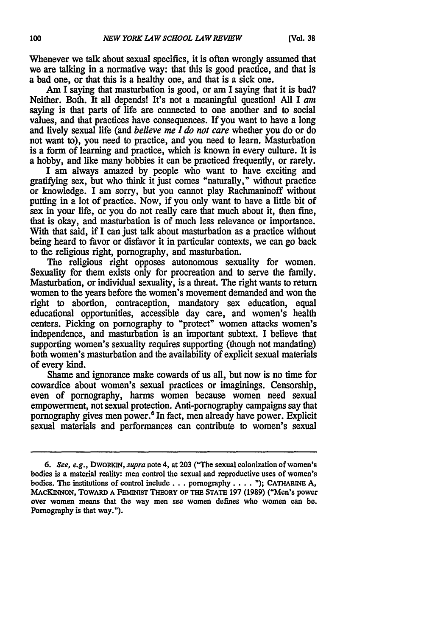Whenever we talk about sexual specifics, it is often wrongly assumed that we are talking in a normative way: that this is good practice, and that is a bad one, or that this is a healthy one, and that is a sick one.

**Am** I saying that masturbation is good, or am I saying that it is bad? Neither. Both. It all depends! It's not a meaningful questionl **All** I *am* saying is that parts of life are connected to one another and to social values, and that practices have consequences. If you want to have a long and lively sexual life (and *believe me I do not care* whether you do or do not want to), you need to practice, and you need to learn. Masturbation is a form of learning and practice, which is known in every culture. It is a hobby, and like many hobbies it can be practiced frequently, or rarely.

I am always amazed **by** people who want to have exciting and gratifying sex, but who think it just comes "naturally," without practice or knowledge. I am sorry, but you cannot play Rachmaninoff without putting in a lot of practice. Now, if you only want to have a little bit of sex in your life, or you do not really care that much about it, then fine, that is okay, and masturbation is of much less relevance or importance. With that said, if I can just talk about masturbation as a practice without being heard to favor or disfavor it in particular contexts, we can go back to the religious right, pornography, and masturbation.

The religious right opposes autonomous sexuality for women. Sexuality for them exists only for procreation and to serve the family. Masturbation, or individual sexuality, is a threat. The right wants to return women to the years before the women's movement demanded and won the right to abortion, contraception, mandatory sex education, equal educational opportunities, accessible day care, and women's health centers. Picking on pornography to "protect" women attacks women's independence, and masturbation is an important subtext. **I** believe that supporting women's sexuality requires supporting (though not mandating) both women's masturbation and the availability of explicit sexual materials of every kind.

Shame and ignorance make cowards of us all, but now is no time for cowardice about women's sexual practices or imaginings. Censorship, even of pornography, harms women because women need sexual empowerment, not sexual protection. Anti-pornography campaigns say that pornography gives men power.<sup>6</sup> In fact, men already have power. Explicit sexual materials and performances can contribute to women's sexual

*<sup>6.</sup> See, e.g.,* **DWORKIN,** *supra* note 4, at **203** ("The sexual colonization of women's bodies is a material reality: men control the sexual and reproductive uses of women's bodies. The institutions of control include... pornography .... **"); CATHARINE A, MACKINNON, TOWARD A FEMINST THEORY** OF **THE STATE 197** (1989) ("Men's power over women means that the way men see women defines who women can be. Pornography is that way.").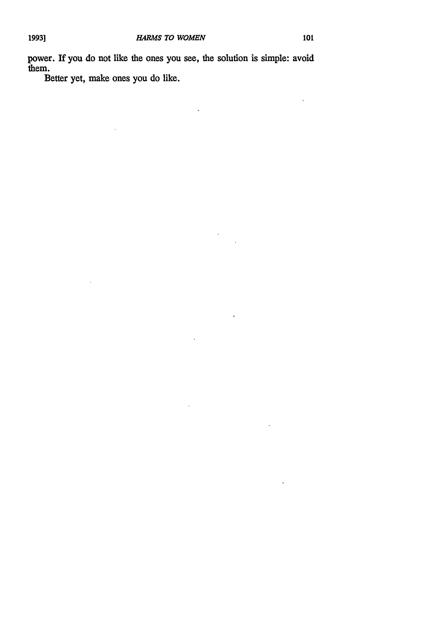$\ddot{\phantom{a}}$ 

power. If you do not like the ones you see, the solution is simple: avoid them.

 $\ddot{\phantom{0}}$ 

 $\ddot{\phantom{0}}$ 

 $\pmb{\mathsf{s}}$ 

J.

 $\bar{\mathbf{r}}$ 

 $\ddot{\phantom{1}}$ 

÷,

Better yet, make ones you do like.

J.

J.